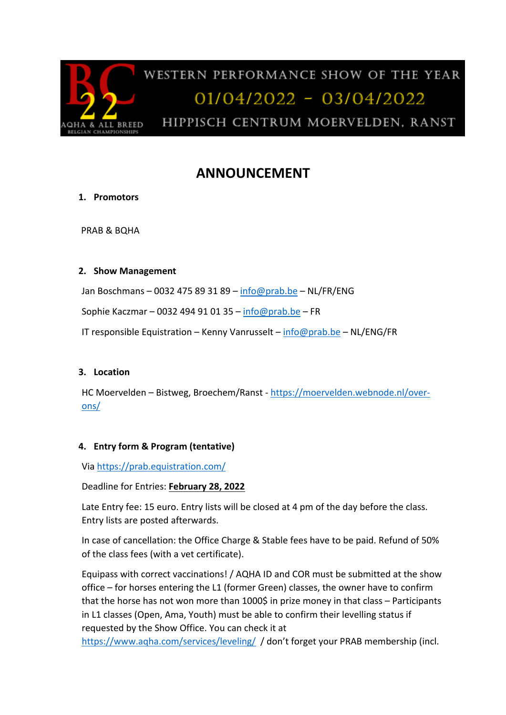

# **ANNOUNCEMENT**

# **1. Promotors**

PRAB & BQHA

### **2. Show Management**

Jan Boschmans – 0032 475 89 31 89 – info@prab.be – NL/FR/ENG

Sophie Kaczmar – 0032 494 91 01 35 – info@prab.be – FR

IT responsible Equistration – Kenny Vanrusselt – info@prab.be – NL/ENG/FR

#### **3. Location**

HC Moervelden – Bistweg, Broechem/Ranst - https://moervelden.webnode.nl/overons/

# **4. Entry form & Program (tentative)**

Via https://prab.equistration.com/

Deadline for Entries: **February 28, 2022**

Late Entry fee: 15 euro. Entry lists will be closed at 4 pm of the day before the class. Entry lists are posted afterwards.

In case of cancellation: the Office Charge & Stable fees have to be paid. Refund of 50% of the class fees (with a vet certificate).

Equipass with correct vaccinations! / AQHA ID and COR must be submitted at the show office – for horses entering the L1 (former Green) classes, the owner have to confirm that the horse has not won more than 1000\$ in prize money in that class – Participants in L1 classes (Open, Ama, Youth) must be able to confirm their levelling status if requested by the Show Office. You can check it at

https://www.aqha.com/services/leveling/ / don't forget your PRAB membership (incl.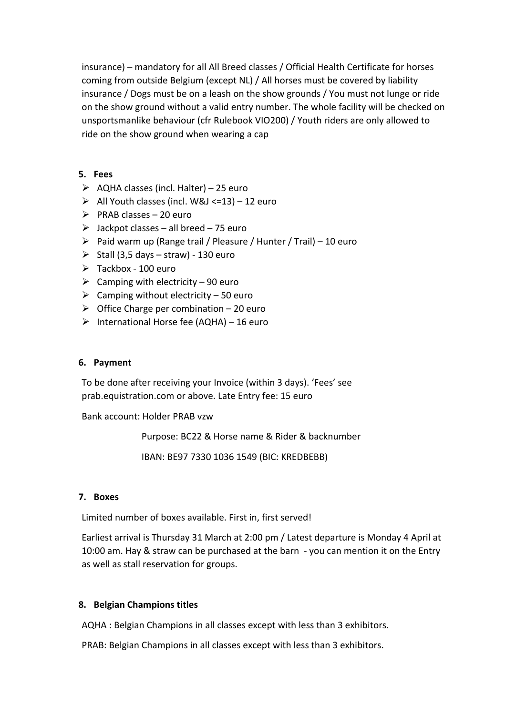insurance) – mandatory for all All Breed classes / Official Health Certificate for horses coming from outside Belgium (except NL) / All horses must be covered by liability insurance / Dogs must be on a leash on the show grounds / You must not lunge or ride on the show ground without a valid entry number. The whole facility will be checked on unsportsmanlike behaviour (cfr Rulebook VIO200) / Youth riders are only allowed to ride on the show ground when wearing a cap

#### **5. Fees**

- $\triangleright$  AQHA classes (incl. Halter) 25 euro
- $\triangleright$  All Youth classes (incl. W&J <= 13) 12 euro
- $\triangleright$  PRAB classes 20 euro
- $\geq$  Jackpot classes all breed 75 euro
- $\triangleright$  Paid warm up (Range trail / Pleasure / Hunter / Trail) 10 euro
- $\triangleright$  Stall (3,5 days straw) 130 euro
- $\triangleright$  Tackbox 100 euro
- $\triangleright$  Camping with electricity 90 euro
- $\triangleright$  Camping without electricity 50 euro
- $\triangleright$  Office Charge per combination 20 euro
- $\triangleright$  International Horse fee (AQHA) 16 euro

#### **6. Payment**

To be done after receiving your Invoice (within 3 days). 'Fees' see prab.equistration.com or above. Late Entry fee: 15 euro

Bank account: Holder PRAB vzw

Purpose: BC22 & Horse name & Rider & backnumber

IBAN: BE97 7330 1036 1549 (BIC: KREDBEBB)

#### **7. Boxes**

Limited number of boxes available. First in, first served!

Earliest arrival is Thursday 31 March at 2:00 pm / Latest departure is Monday 4 April at 10:00 am. Hay & straw can be purchased at the barn - you can mention it on the Entry as well as stall reservation for groups.

#### **8. Belgian Champions titles**

AQHA : Belgian Champions in all classes except with less than 3 exhibitors.

PRAB: Belgian Champions in all classes except with less than 3 exhibitors.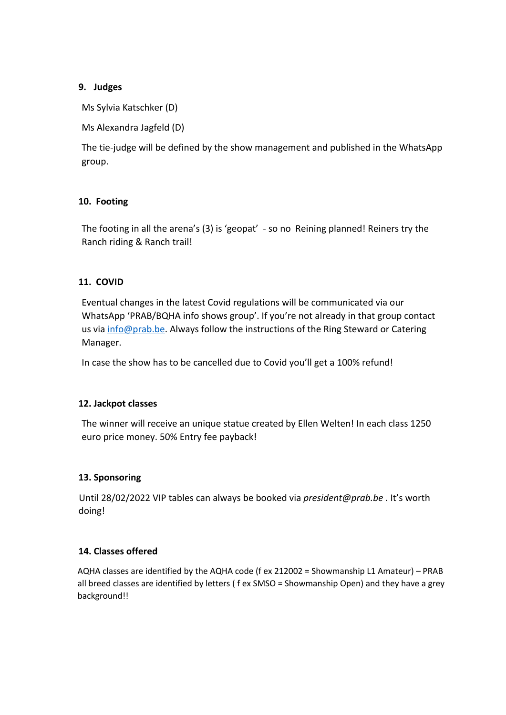## **9. Judges**

Ms Sylvia Katschker (D)

Ms Alexandra Jagfeld (D)

The tie-judge will be defined by the show management and published in the WhatsApp group.

# **10. Footing**

The footing in all the arena's (3) is 'geopat' - so no Reining planned! Reiners try the Ranch riding & Ranch trail!

### **11. COVID**

Eventual changes in the latest Covid regulations will be communicated via our WhatsApp 'PRAB/BQHA info shows group'. If you're not already in that group contact us via info@prab.be. Always follow the instructions of the Ring Steward or Catering Manager.

In case the show has to be cancelled due to Covid you'll get a 100% refund!

#### **12. Jackpot classes**

The winner will receive an unique statue created by Ellen Welten! In each class 1250 euro price money. 50% Entry fee payback!

# **13. Sponsoring**

Until 28/02/2022 VIP tables can always be booked via *president@prab.be* . It's worth doing!

#### **14. Classes offered**

AQHA classes are identified by the AQHA code (f ex 212002 = Showmanship L1 Amateur) – PRAB all breed classes are identified by letters ( f ex SMSO = Showmanship Open) and they have a grey background!!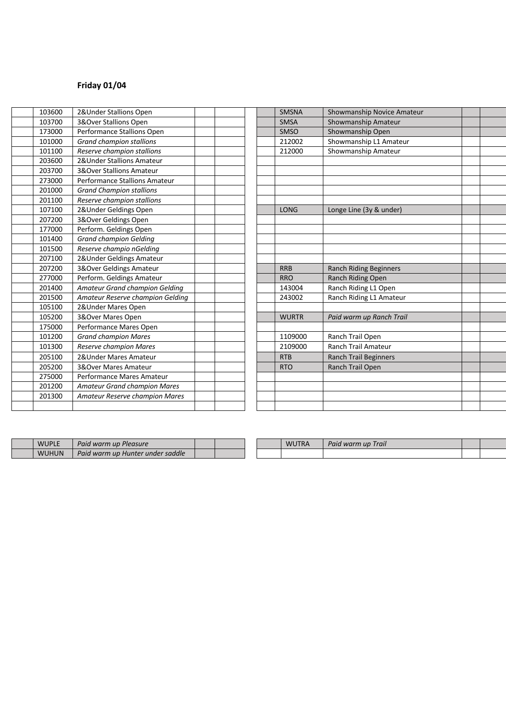# **Friday 01/04**

| 103600 | 2& Under Stallions Open             |  | <b>SMSNA</b> | Showmanship Novice Amateur    |
|--------|-------------------------------------|--|--------------|-------------------------------|
| 103700 | 3&Over Stallions Open               |  | <b>SMSA</b>  | Showmanship Amateur           |
| 173000 | Performance Stallions Open          |  | <b>SMSO</b>  | Showmanship Open              |
| 101000 | <b>Grand champion stallions</b>     |  | 212002       | Showmanship L1 Amateur        |
| 101100 | Reserve champion stallions          |  | 212000       | Showmanship Amateur           |
| 203600 | 2& Under Stallions Amateur          |  |              |                               |
| 203700 | <b>3&amp;Over Stallions Amateur</b> |  |              |                               |
| 273000 | Performance Stallions Amateur       |  |              |                               |
| 201000 | <b>Grand Champion stallions</b>     |  |              |                               |
| 201100 | Reserve champion stallions          |  |              |                               |
| 107100 | 2&Under Geldings Open               |  | <b>LONG</b>  | Longe Line (3y & under)       |
| 207200 | 3&Over Geldings Open                |  |              |                               |
| 177000 | Perform. Geldings Open              |  |              |                               |
| 101400 | <b>Grand champion Gelding</b>       |  |              |                               |
| 101500 | Reserve champio nGelding            |  |              |                               |
| 207100 | 2& Under Geldings Amateur           |  |              |                               |
| 207200 | 3&Over Geldings Amateur             |  | <b>RRB</b>   | <b>Ranch Riding Beginners</b> |
| 277000 | Perform. Geldings Amateur           |  | <b>RRO</b>   | Ranch Riding Open             |
| 201400 | Amateur Grand champion Gelding      |  | 143004       | Ranch Riding L1 Open          |
| 201500 | Amateur Reserve champion Gelding    |  | 243002       | Ranch Riding L1 Amateur       |
| 105100 | 2&Under Mares Open                  |  |              |                               |
| 105200 | 3&Over Mares Open                   |  | <b>WURTR</b> | Paid warm up Ranch Trail      |
| 175000 | Performance Mares Open              |  |              |                               |
| 101200 | <b>Grand champion Mares</b>         |  | 1109000      | Ranch Trail Open              |
| 101300 | Reserve champion Mares              |  | 2109000      | <b>Ranch Trail Amateur</b>    |
| 205100 | 2& Under Mares Amateur              |  | <b>RTB</b>   | <b>Ranch Trail Beginners</b>  |
| 205200 | 3&Over Mares Amateur                |  | <b>RTO</b>   | Ranch Trail Open              |
| 275000 | Performance Mares Amateur           |  |              |                               |
| 201200 | <b>Amateur Grand champion Mares</b> |  |              |                               |
| 201300 | Amateur Reserve champion Mares      |  |              |                               |
|        |                                     |  |              |                               |

| <b>SMSNA</b> | Showmanship Novice Amateur    |  |
|--------------|-------------------------------|--|
| <b>SMSA</b>  | Showmanship Amateur           |  |
| <b>SMSO</b>  | Showmanship Open              |  |
| 212002       | Showmanship L1 Amateur        |  |
| 212000       | Showmanship Amateur           |  |
|              |                               |  |
|              |                               |  |
|              |                               |  |
|              |                               |  |
|              |                               |  |
| <b>LONG</b>  | Longe Line (3y & under)       |  |
|              |                               |  |
|              |                               |  |
|              |                               |  |
|              |                               |  |
|              |                               |  |
| <b>RRB</b>   | <b>Ranch Riding Beginners</b> |  |
| <b>RRO</b>   | Ranch Riding Open             |  |
| 143004       | Ranch Riding L1 Open          |  |
| 243002       | Ranch Riding L1 Amateur       |  |
|              |                               |  |
| <b>WURTR</b> | Paid warm up Ranch Trail      |  |
|              |                               |  |
| 1109000      | Ranch Trail Open              |  |
| 2109000      | <b>Ranch Trail Amateur</b>    |  |
| <b>RTB</b>   | Ranch Trail Beginners         |  |
| <b>RTO</b>   | Ranch Trail Open              |  |
|              |                               |  |
|              |                               |  |
|              |                               |  |
|              |                               |  |

| <b>WUPLE</b> | Paid warm up Pleasure            |  |  | <b>WUTRA</b> | Paid warm up Trail |  |
|--------------|----------------------------------|--|--|--------------|--------------------|--|
| <b>WUHUN</b> | Paid warm up Hunter under saddle |  |  |              |                    |  |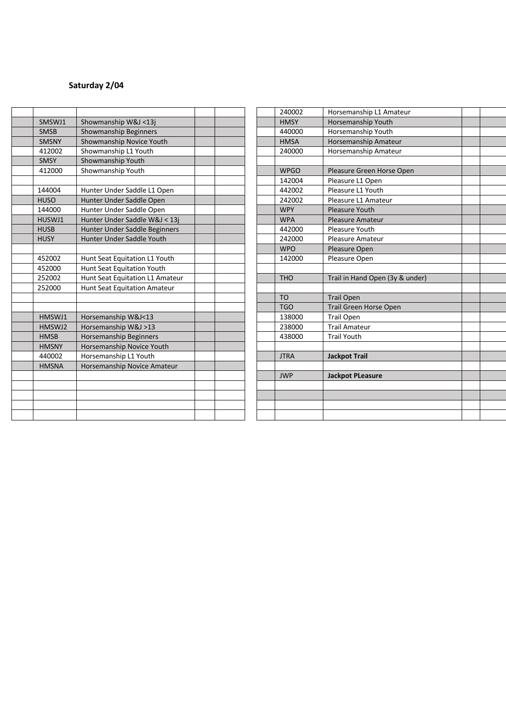# **Saturday 2/04**

|                        |                                                  | <b>JWP</b>            | <b>Jackpot PLeasure</b>                      |  |
|------------------------|--------------------------------------------------|-----------------------|----------------------------------------------|--|
| <b>HMSNA</b>           | Horsemanship Novice Amateur                      |                       |                                              |  |
| 440002                 | Horsemanship L1 Youth                            | <b>JTRA</b>           | <b>Jackpot Trail</b>                         |  |
| <b>HMSNY</b>           | Horsemanship Novice Youth                        |                       |                                              |  |
| <b>HMSB</b>            | Horsemanship Beginners                           | 438000                | <b>Trail Youth</b>                           |  |
| HMSWJ2                 | Horsemanship W&J >13                             | 238000                | <b>Trail Amateur</b>                         |  |
| HMSWJ1                 | Horsemanship W&J<13                              | 138000                | <b>Trail Open</b>                            |  |
|                        |                                                  | <b>TGO</b>            | <b>Trail Green Horse Open</b>                |  |
|                        |                                                  | <b>TO</b>             | <b>Trail Open</b>                            |  |
| 252000                 | Hunt Seat Equitation Amateur                     |                       |                                              |  |
| 252002                 | Hunt Seat Equitation L1 Amateur                  | <b>THO</b>            | Trail in Hand Open (3y & under)              |  |
| 452000                 | Hunt Seat Equitation Youth                       |                       |                                              |  |
| 452002                 | Hunt Seat Equitation L1 Youth                    | 142000                | Pleasure Open                                |  |
|                        |                                                  | <b>WPO</b>            | Pleasure Open                                |  |
| <b>HUSY</b>            | Hunter Under Saddle Youth                        | 242000                | Pleasure Amateur                             |  |
| <b>HUSB</b>            | Hunter Under Saddle Beginners                    | 442000                | Pleasure Youth                               |  |
| HUSWJ1                 | Hunter Under Saddle W&J < 13j                    | <b>WPA</b>            | <b>Pleasure Amateur</b>                      |  |
| 144000                 | Hunter Under Saddle Open                         | <b>WPY</b>            | <b>Pleasure Youth</b>                        |  |
| <b>HUSO</b>            | Hunter Under Saddle Open                         | 242002                | Pleasure L1 Amateur                          |  |
| 144004                 | Hunter Under Saddle L1 Open                      | 442002                | Pleasure L1 Youth                            |  |
|                        |                                                  | 142004                | Pleasure L1 Open                             |  |
| 412000                 | Showmanship Youth                                | <b>WPGO</b>           | Pleasure Green Horse Open                    |  |
| <b>SMSY</b>            | Showmanship Youth                                |                       |                                              |  |
| <b>SMSNY</b><br>412002 | Showmanship Novice Youth<br>Showmanship L1 Youth | <b>HMSA</b><br>240000 | Horsemanship Amateur<br>Horsemanship Amateur |  |
| <b>SMSB</b>            | Showmanship Beginners                            | 440000                | Horsemanship Youth                           |  |
| SMSWJ1                 | Showmanship W&J <13j                             | <b>HMSY</b>           | Horsemanship Youth                           |  |
|                        |                                                  |                       |                                              |  |